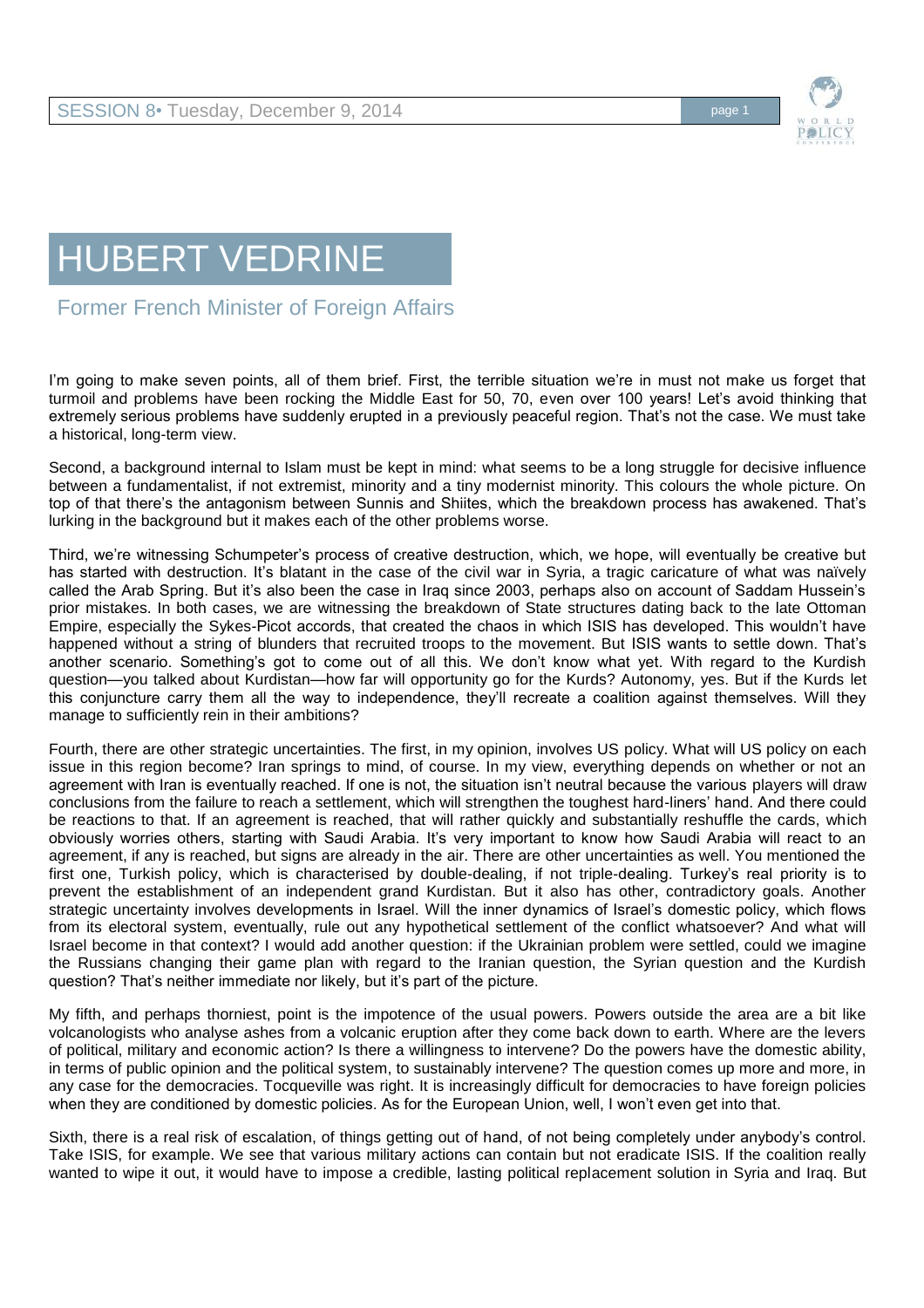



Former French Minister of Foreign Affairs

I'm going to make seven points, all of them brief. First, the terrible situation we're in must not make us forget that turmoil and problems have been rocking the Middle East for 50, 70, even over 100 years! Let's avoid thinking that extremely serious problems have suddenly erupted in a previously peaceful region. That's not the case. We must take a historical, long-term view.

Second, a background internal to Islam must be kept in mind: what seems to be a long struggle for decisive influence between a fundamentalist, if not extremist, minority and a tiny modernist minority. This colours the whole picture. On top of that there's the antagonism between Sunnis and Shiites, which the breakdown process has awakened. That's lurking in the background but it makes each of the other problems worse.

Third, we're witnessing Schumpeter's process of creative destruction, which, we hope, will eventually be creative but has started with destruction. It's blatant in the case of the civil war in Syria, a tragic caricature of what was naïvely called the Arab Spring. But it's also been the case in Iraq since 2003, perhaps also on account of Saddam Hussein's prior mistakes. In both cases, we are witnessing the breakdown of State structures dating back to the late Ottoman Empire, especially the Sykes-Picot accords, that created the chaos in which ISIS has developed. This wouldn't have happened without a string of blunders that recruited troops to the movement. But ISIS wants to settle down. That's another scenario. Something's got to come out of all this. We don't know what yet. With regard to the Kurdish question—you talked about Kurdistan—how far will opportunity go for the Kurds? Autonomy, yes. But if the Kurds let this conjuncture carry them all the way to independence, they'll recreate a coalition against themselves. Will they manage to sufficiently rein in their ambitions?

Fourth, there are other strategic uncertainties. The first, in my opinion, involves US policy. What will US policy on each issue in this region become? Iran springs to mind, of course. In my view, everything depends on whether or not an agreement with Iran is eventually reached. If one is not, the situation isn't neutral because the various players will draw conclusions from the failure to reach a settlement, which will strengthen the toughest hard-liners' hand. And there could be reactions to that. If an agreement is reached, that will rather quickly and substantially reshuffle the cards, which obviously worries others, starting with Saudi Arabia. It's very important to know how Saudi Arabia will react to an agreement, if any is reached, but signs are already in the air. There are other uncertainties as well. You mentioned the first one, Turkish policy, which is characterised by double-dealing, if not triple-dealing. Turkey's real priority is to prevent the establishment of an independent grand Kurdistan. But it also has other, contradictory goals. Another strategic uncertainty involves developments in Israel. Will the inner dynamics of Israel's domestic policy, which flows from its electoral system, eventually, rule out any hypothetical settlement of the conflict whatsoever? And what will Israel become in that context? I would add another question: if the Ukrainian problem were settled, could we imagine the Russians changing their game plan with regard to the Iranian question, the Syrian question and the Kurdish question? That's neither immediate nor likely, but it's part of the picture.

My fifth, and perhaps thorniest, point is the impotence of the usual powers. Powers outside the area are a bit like volcanologists who analyse ashes from a volcanic eruption after they come back down to earth. Where are the levers of political, military and economic action? Is there a willingness to intervene? Do the powers have the domestic ability, in terms of public opinion and the political system, to sustainably intervene? The question comes up more and more, in any case for the democracies. Tocqueville was right. It is increasingly difficult for democracies to have foreign policies when they are conditioned by domestic policies. As for the European Union, well, I won't even get into that.

Sixth, there is a real risk of escalation, of things getting out of hand, of not being completely under anybody's control. Take ISIS, for example. We see that various military actions can contain but not eradicate ISIS. If the coalition really wanted to wipe it out, it would have to impose a credible, lasting political replacement solution in Syria and Iraq. But